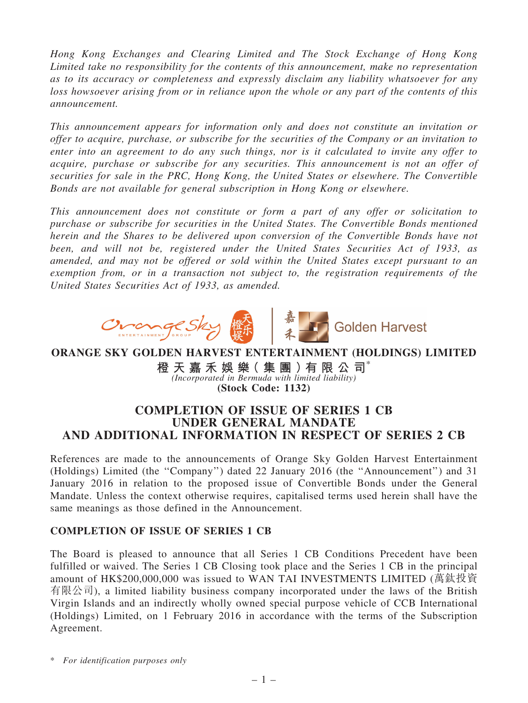*Hong Kong Exchanges and Clearing Limited and The Stock Exchange of Hong Kong Limited take no responsibility for the contents of this announcement, make no representation as to its accuracy or completeness and expressly disclaim any liability whatsoever for any loss howsoever arising from or in reliance upon the whole or any part of the contents of this announcement.*

*This announcement appears for information only and does not constitute an invitation or offer to acquire, purchase, or subscribe for the securities of the Company or an invitation to enter into an agreement to do any such things, nor is it calculated to invite any offer to acquire, purchase or subscribe for any securities. This announcement is not an offer of securities for sale in the PRC, Hong Kong, the United States or elsewhere. The Convertible Bonds are not available for general subscription in Hong Kong or elsewhere.*

*This announcement does not constitute or form a part of any offer or solicitation to purchase or subscribe for securities in the United States. The Convertible Bonds mentioned herein and the Shares to be delivered upon conversion of the Convertible Bonds have not been, and will not be, registered under the United States Securities Act of 1933, as amended, and may not be offered or sold within the United States except pursuant to an exemption from, or in a transaction not subject to, the registration requirements of the United States Securities Act of 1933, as amended.*



## ORANGE SKY GOLDEN HARVEST ENTERTAINMENT (HOLDINGS) LIMITED

橙 天 嘉 禾 娛 樂 ( 集 團 ) 有 限 公 司 $^{\circ}$ *(Incorporated in Bermuda with limited liability)* (Stock Code: 1132)

# COMPLETION OF ISSUE OF SERIES 1 CB UNDER GENERAL MANDATE AND ADDITIONAL INFORMATION IN RESPECT OF SERIES 2 CB

References are made to the announcements of Orange Sky Golden Harvest Entertainment (Holdings) Limited (the ''Company'') dated 22 January 2016 (the ''Announcement'') and 31 January 2016 in relation to the proposed issue of Convertible Bonds under the General Mandate. Unless the context otherwise requires, capitalised terms used herein shall have the same meanings as those defined in the Announcement.

## COMPLETION OF ISSUE OF SERIES 1 CB

The Board is pleased to announce that all Series 1 CB Conditions Precedent have been fulfilled or waived. The Series 1 CB Closing took place and the Series 1 CB in the principal amount of HK\$200,000,000 was issued to WAN TAI INVESTMENTS LIMITED (萬鈦投資 有限公司), a limited liability business company incorporated under the laws of the British Virgin Islands and an indirectly wholly owned special purpose vehicle of CCB International (Holdings) Limited, on 1 February 2016 in accordance with the terms of the Subscription Agreement.

\* *For identification purposes only*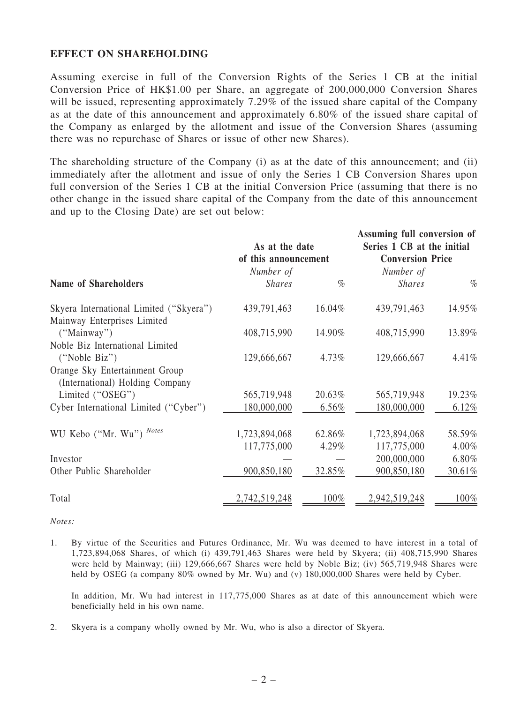### EFFECT ON SHAREHOLDING

Assuming exercise in full of the Conversion Rights of the Series 1 CB at the initial Conversion Price of HK\$1.00 per Share, an aggregate of 200,000,000 Conversion Shares will be issued, representing approximately 7.29% of the issued share capital of the Company as at the date of this announcement and approximately 6.80% of the issued share capital of the Company as enlarged by the allotment and issue of the Conversion Shares (assuming there was no repurchase of Shares or issue of other new Shares).

The shareholding structure of the Company (i) as at the date of this announcement; and (ii) immediately after the allotment and issue of only the Series 1 CB Conversion Shares upon full conversion of the Series 1 CB at the initial Conversion Price (assuming that there is no other change in the issued share capital of the Company from the date of this announcement and up to the Closing Date) are set out below:

|                                         | As at the date       |        | Assuming full conversion of<br>Series 1 CB at the initial |        |
|-----------------------------------------|----------------------|--------|-----------------------------------------------------------|--------|
|                                         | of this announcement |        | <b>Conversion Price</b>                                   |        |
|                                         | Number of            |        | Number of                                                 |        |
| <b>Name of Shareholders</b>             | <b>Shares</b>        | $\%$   | <b>Shares</b>                                             | $\%$   |
| Skyera International Limited ("Skyera") | 439,791,463          | 16.04% | 439,791,463                                               | 14.95% |
| Mainway Enterprises Limited             |                      |        |                                                           |        |
| ("Mainway")                             | 408,715,990          | 14.90% | 408,715,990                                               | 13.89% |
| Noble Biz International Limited         |                      |        |                                                           |        |
| ("Noble Biz")                           | 129,666,667          | 4.73%  | 129,666,667                                               | 4.41%  |
| Orange Sky Entertainment Group          |                      |        |                                                           |        |
| (International) Holding Company         |                      |        |                                                           |        |
| Limited ("OSEG")                        | 565,719,948          | 20.63% | 565,719,948                                               | 19.23% |
| Cyber International Limited ("Cyber")   | 180,000,000          | 6.56%  | 180,000,000                                               | 6.12%  |
| WU Kebo ("Mr. Wu") Notes                | 1,723,894,068        | 62.86% | 1,723,894,068                                             | 58.59% |
|                                         | 117,775,000          | 4.29%  | 117,775,000                                               | 4.00%  |
|                                         |                      |        |                                                           |        |
| Investor                                |                      |        | 200,000,000                                               | 6.80%  |
| Other Public Shareholder                | 900,850,180          | 32.85% | 900,850,180                                               | 30.61% |
| Total                                   | 2,742,519,248        | 100%   | 2,942,519,248                                             | 100%   |

*Notes:*

1. By virtue of the Securities and Futures Ordinance, Mr. Wu was deemed to have interest in a total of 1,723,894,068 Shares, of which (i) 439,791,463 Shares were held by Skyera; (ii) 408,715,990 Shares were held by Mainway; (iii) 129,666,667 Shares were held by Noble Biz; (iv) 565,719,948 Shares were held by OSEG (a company 80% owned by Mr. Wu) and (v) 180,000,000 Shares were held by Cyber.

In addition, Mr. Wu had interest in 117,775,000 Shares as at date of this announcement which were beneficially held in his own name.

2. Skyera is a company wholly owned by Mr. Wu, who is also a director of Skyera.